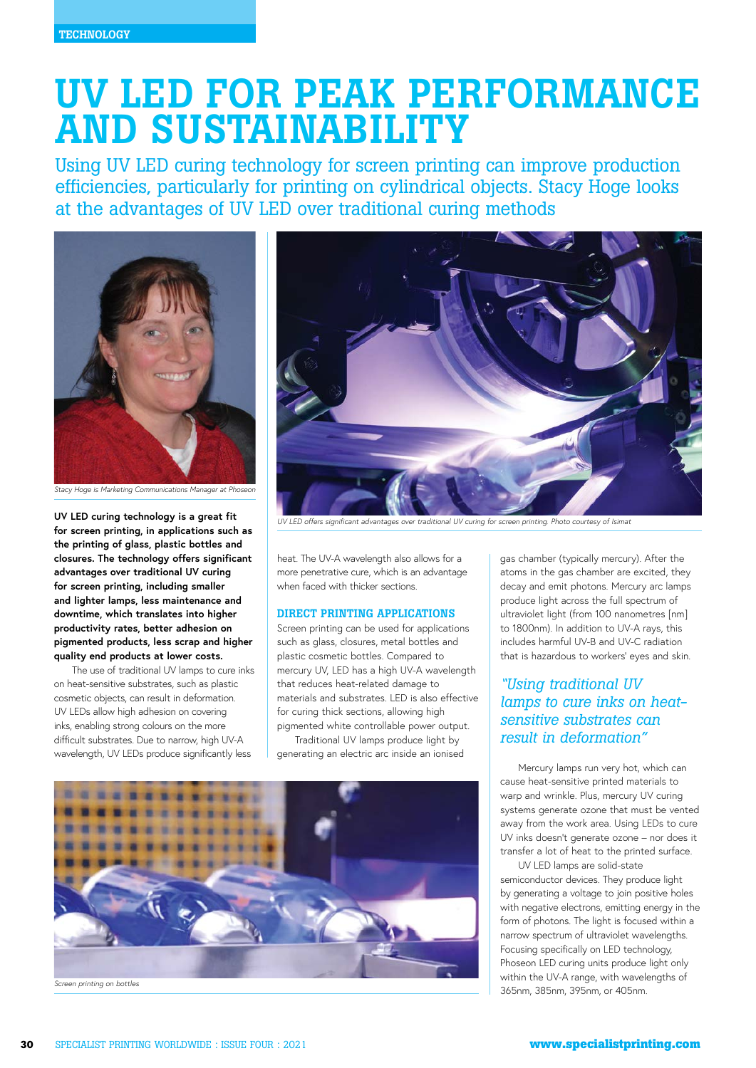# UV LED FOR PEAK PERFORMANCE AND SUSTAINABILITY

Using UV LED curing technology for screen printing can improve production efficiencies, particularly for printing on cylindrical objects. Stacy Hoge looks at the advantages of UV LED over traditional curing methods



*Stacy Hoge is Marketing Communications Manager at Phoseon*

**UV LED curing technology is a great fit for screen printing, in applications such as the printing of glass, plastic bottles and closures. The technology offers significant advantages over traditional UV curing for screen printing, including smaller and lighter lamps, less maintenance and downtime, which translates into higher productivity rates, better adhesion on pigmented products, less scrap and higher quality end products at lower costs.** 

The use of traditional UV lamps to cure inks on heat-sensitive substrates, such as plastic cosmetic objects, can result in deformation. UV LEDs allow high adhesion on covering inks, enabling strong colours on the more difficult substrates. Due to narrow, high UV-A wavelength, UV LEDs produce significantly less



*UV LED offers significant advantages over traditional UV curing for screen printing. Photo courtesy of Isimat*

heat. The UV-A wavelength also allows for a more penetrative cure, which is an advantage when faced with thicker sections.

# DIRECT PRINTING APPLICATIONS

Screen printing can be used for applications such as glass, closures, metal bottles and plastic cosmetic bottles. Compared to mercury UV, LED has a high UV-A wavelength that reduces heat-related damage to materials and substrates. LED is also effective for curing thick sections, allowing high pigmented white controllable power output.

Traditional UV lamps produce light by generating an electric arc inside an ionised



gas chamber (typically mercury). After the atoms in the gas chamber are excited, they decay and emit photons. Mercury arc lamps produce light across the full spectrum of ultraviolet light (from 100 nanometres [nm] to 1800nm). In addition to UV-A rays, this includes harmful UV-B and UV-C radiation that is hazardous to workers' eyes and skin.

# *"Using traditional UV lamps to cure inks on heatsensitive substrates can result in deformation"*

Mercury lamps run very hot, which can cause heat-sensitive printed materials to warp and wrinkle. Plus, mercury UV curing systems generate ozone that must be vented away from the work area. Using LEDs to cure UV inks doesn't generate ozone – nor does it transfer a lot of heat to the printed surface.

UV LED lamps are solid-state semiconductor devices. They produce light by generating a voltage to join positive holes with negative electrons, emitting energy in the form of photons. The light is focused within a narrow spectrum of ultraviolet wavelengths. Focusing specifically on LED technology, Phoseon LED curing units produce light only within the UV-A range, with wavelengths of 365nm, 385nm, 395nm, or 405nm.